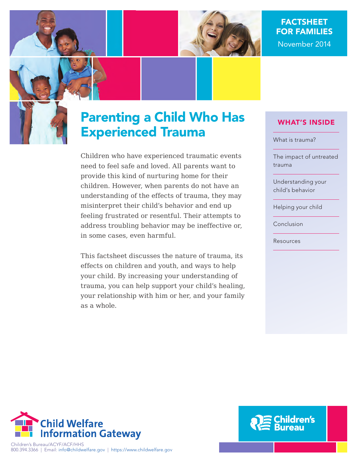

## FACTSHEET FOR FAMILIES November 2014



# Parenting a Child Who Has Experienced Trauma

Children who have experienced traumatic events need to feel safe and loved. All parents want to provide this kind of nurturing home for their children. However, when parents do not have an understanding of the effects of trauma, they may misinterpret their child's behavior and end up feeling frustrated or resentful. Their attempts to address troubling behavior may be ineffective or, in some cases, even harmful.

This factsheet discusses the nature of trauma, its effects on children and youth, and ways to help your child. By increasing your understanding of trauma, you can help support your child's healing, your relationship with him or her, and your family as a whole.

## WHAT'S INSIDE

What is trauma?

The impact of untreated trauma

Understanding your child's behavior

Helping your child

Conclusion

Resources



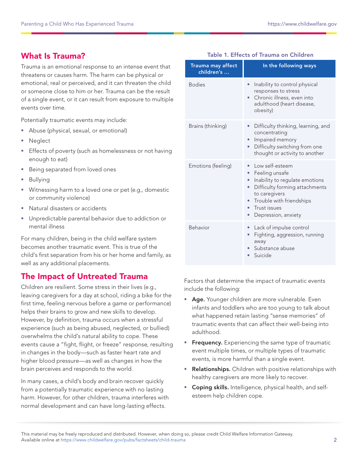## What Is Trauma?

Trauma is an emotional response to an intense event that threatens or causes harm. The harm can be physical or emotional, real or perceived, and it can threaten the child or someone close to him or her. Trauma can be the result of a single event, or it can result from exposure to multiple events over time.

Potentially traumatic events may include:

- Abuse (physical, sexual, or emotional)
- Neglect
- **Effects of poverty (such as homelessness or not having** enough to eat)
- Being separated from loved ones
- **Bullying**
- Witnessing harm to a loved one or pet (e.g., domestic or community violence)
- Natural disasters or accidents
- Unpredictable parental behavior due to addiction or mental illness

For many children, being in the child welfare system becomes another traumatic event. This is true of the child's first separation from his or her home and family, as well as any additional placements.

## The Impact of Untreated Trauma

Children are resilient. Some stress in their lives (e.g., leaving caregivers for a day at school, riding a bike for the first time, feeling nervous before a game or performance) helps their brains to grow and new skills to develop. However, by definition, trauma occurs when a stressful experience (such as being abused, neglected, or bullied) overwhelms the child's natural ability to cope. These events cause a "fight, flight, or freeze" response, resulting in changes in the body—such as faster heart rate and higher blood pressure—as well as changes in how the brain perceives and responds to the world.

In many cases, a child's body and brain recover quickly from a potentially traumatic experience with no lasting harm. However, for other children, trauma interferes with normal development and can have long-lasting effects.

| <b>Trauma may affect</b><br>children's | In the following ways                                                                                                                                                                                                      |
|----------------------------------------|----------------------------------------------------------------------------------------------------------------------------------------------------------------------------------------------------------------------------|
| <b>Bodies</b>                          | Inability to control physical<br>$\bullet$<br>responses to stress<br>Chronic illness, even into<br>adulthood (heart disease,<br>obesity)                                                                                   |
| Brains (thinking)                      | Difficulty thinking, learning, and<br>concentrating<br>Impaired memory<br>Difficulty switching from one<br>$\bullet$<br>thought or activity to another                                                                     |
| Emotions (feeling)                     | Low self-esteem<br>Feeling unsafe<br>٠<br>Inability to regulate emotions<br>$\bullet$<br>Difficulty forming attachments<br>٠<br>to caregivers<br>Trouble with friendships<br>0<br>Trust issues<br>Depression, anxiety<br>0 |
| <b>Behavior</b>                        | Lack of impulse control<br>Fighting, aggression, running<br>away<br>Substance abuse<br>Suicide                                                                                                                             |

Factors that determine the impact of traumatic events include the following:

- **Age.** Younger children are more vulnerable. Even infants and toddlers who are too young to talk about what happened retain lasting "sense memories" of traumatic events that can affect their well-being into adulthood.
- **Frequency.** Experiencing the same type of traumatic event multiple times, or multiple types of traumatic events, is more harmful than a single event.
- **Relationships.** Children with positive relationships with healthy caregivers are more likely to recover.
- **Coping skills.** Intelligence, physical health, and selfesteem help children cope.

### Table 1. Effects of Trauma on Children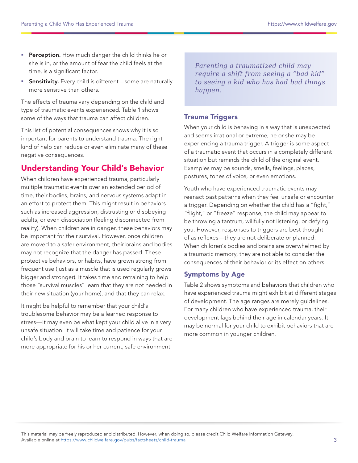- she is in, or the amount of fear the child feels at the time, is a significant factor.
- **Sensitivity.** Every child is different—some are naturally more sensitive than others.

The effects of trauma vary depending on the child and type of traumatic events experienced. Table 1 shows some of the ways that trauma can affect children.

This list of potential consequences shows why it is so important for parents to understand trauma. The right kind of help can reduce or even eliminate many of these negative consequences.

## Understanding Your Child's Behavior

**Perception.** How much detect he child this let this he is the child think he or the child think and youth a supplicative between the child this head of this and the substitute of this content of the child thinks he subst When children have experienced trauma, particularly multiple traumatic events over an extended period of time, their bodies, brains, and nervous systems adapt in an effort to protect them. This might result in behaviors such as increased aggression, distrusting or disobeying adults, or even dissociation (feeling disconnected from reality). When children are in danger, these behaviors may be important for their survival. However, once children are moved to a safer environment, their brains and bodies may not recognize that the danger has passed. These protective behaviors, or habits, have grown strong from frequent use (just as a muscle that is used regularly grows bigger and stronger). It takes time and retraining to help those "survival muscles" learn that they are not needed in their new situation (your home), and that they can relax.

It might be helpful to remember that your child's troublesome behavior may be a learned response to stress—it may even be what kept your child alive in a very unsafe situation. It will take time and patience for your child's body and brain to learn to respond in ways that are more appropriate for his or her current, safe environment.

*Parenting a traumatized child may require a shift from seeing a "bad kid" to seeing a kid who has had bad things happen.*

### Trauma Triggers

When your child is behaving in a way that is unexpected and seems irrational or extreme, he or she may be experiencing a trauma trigger. A trigger is some aspect of a traumatic event that occurs in a completely different situation but reminds the child of the original event. Examples may be sounds, smells, feelings, places, postures, tones of voice, or even emotions.

Youth who have experienced traumatic events may reenact past patterns when they feel unsafe or encounter a trigger. Depending on whether the child has a "fight," "flight," or "freeze" response, the child may appear to be throwing a tantrum, willfully not listening, or defying you. However, responses to triggers are best thought of as reflexes—they are not deliberate or planned. When children's bodies and brains are overwhelmed by a traumatic memory, they are not able to consider the consequences of their behavior or its effect on others.

## Symptoms by Age

Table 2 shows symptoms and behaviors that children who have experienced trauma might exhibit at different stages of development. The age ranges are merely guidelines. For many children who have experienced trauma, their development lags behind their age in calendar years. It may be normal for your child to exhibit behaviors that are more common in younger children.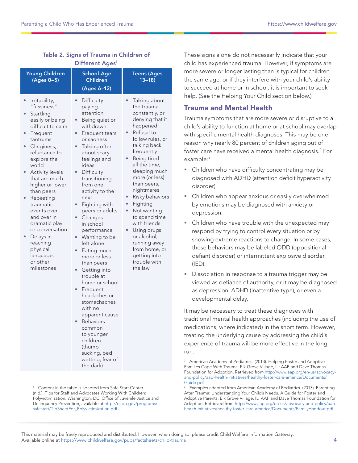|                                                                                                                                                                                                                                                                                                                                                                                                                              | <b>Different Ages</b>                                                                                                                                                                                                                                                                                                                                                                                                                                                                                                                                                                                                                                                                                               |                                                                                                                                                                                                                                                                                                                                                                                                                                                                                                                     |
|------------------------------------------------------------------------------------------------------------------------------------------------------------------------------------------------------------------------------------------------------------------------------------------------------------------------------------------------------------------------------------------------------------------------------|---------------------------------------------------------------------------------------------------------------------------------------------------------------------------------------------------------------------------------------------------------------------------------------------------------------------------------------------------------------------------------------------------------------------------------------------------------------------------------------------------------------------------------------------------------------------------------------------------------------------------------------------------------------------------------------------------------------------|---------------------------------------------------------------------------------------------------------------------------------------------------------------------------------------------------------------------------------------------------------------------------------------------------------------------------------------------------------------------------------------------------------------------------------------------------------------------------------------------------------------------|
| <b>Young Children</b><br>(Ages 0-5)                                                                                                                                                                                                                                                                                                                                                                                          | <b>School-Age</b><br>Children<br>(Ages 6-12)                                                                                                                                                                                                                                                                                                                                                                                                                                                                                                                                                                                                                                                                        | <b>Teens (Ages</b><br>$13 - 18$                                                                                                                                                                                                                                                                                                                                                                                                                                                                                     |
| Irritability,<br>$\bullet$<br>"fussiness"<br>Startling<br>easily or being<br>difficult to calm<br>Frequent<br>tantrums<br>Clinginess,<br>reluctance to<br>explore the<br>world<br>Activity levels<br>that are much<br>higher or lower<br>than peers<br>Repeating<br>traumatic<br>events over<br>and over in<br>dramatic play<br>or conversation<br>Delays in<br>reaching<br>physical,<br>language,<br>or other<br>milestones | Difficulty<br>$\bullet$<br>paying<br>attention<br>Being quiet or<br>withdrawn<br>Frequent tears<br>۰<br>or sadness<br>Talking often<br>$\bullet$<br>about scary<br>feelings and<br>ideas<br>Difficulty<br>$\bullet$<br>transitioning<br>from one<br>activity to the<br>next<br>Fighting with<br>۰<br>peers or adults<br>Changes<br>in school<br>performance<br>Wanting to be<br>left alone<br>$\bullet$<br>Eating much<br>more or less<br>than peers<br>Getting into<br>$\bullet$<br>trouble at<br>home or school<br>Frequent<br>$\bullet$<br>headaches or<br>stomachaches<br>with no<br>apparent cause<br>Behaviors<br>common<br>to younger<br>children<br>(thumb<br>sucking, bed<br>wetting, fear of<br>the dark) | Talking about<br>$\bullet$<br>the trauma<br>constantly, or<br>denying that it<br>happened<br>Refusal to<br>follow rules, or<br>talking back<br>frequently<br>Being tired<br>$\bullet$<br>all the time,<br>sleeping much<br>more (or less)<br>than peers,<br>nightmares<br>Risky behaviors<br>$\bullet$<br>Fighting<br>$\bullet$<br>Not wanting<br>$\bullet$<br>to spend time<br>with friends<br>Using drugs<br>$\bullet$<br>or alcohol,<br>running away<br>from home, or<br>getting into<br>trouble with<br>the law |

### Table 2. Signs of Trauma in Children of Different Ages<sup>1</sup>

<sup>1</sup> Content in the table is adapted from Safe Start Center. (n.d.). Tips for Staff and Advocates Working With Children: Polyvictimization. Washington, DC: Office of Juvenile Justice and Delinquency Prevention, available at [http://ojjdp.gov/programs/](http://ojjdp.gov/programs/safestart/TipSheetFor_Polyvictimization.pdf) [safestart/TipSheetFor\\_Polyvictimization.pdf.](http://ojjdp.gov/programs/safestart/TipSheetFor_Polyvictimization.pdf)

These signs alone do not necessarily indicate that your child has experienced trauma. However, if symptoms are more severe or longer lasting than is typical for children the same age, or if they interfere with your child's ability to succeed at home or in school, it is important to seek help. (See the Helping Your Child section below.)

## Trauma and Mental Health

Trauma symptoms that are more severe or disruptive to a child's ability to function at home or at school may overlap with specific mental health diagnoses. This may be one reason why nearly 80 percent of children aging out of foster care have received a mental health diagnosis.<sup>2</sup> For example:<sup>3</sup>

- Children who have difficulty concentrating may be diagnosed with ADHD (attention deficit hyperactivity disorder).
- Children who appear anxious or easily overwhelmed by emotions may be diagnosed with anxiety or depression.
- Children who have trouble with the unexpected may respond by trying to control every situation or by showing extreme reactions to change. In some cases, these behaviors may be labeled ODD (oppositional defiant disorder) or intermittent explosive disorder (IED).
- Dissociation in response to a trauma trigger may be viewed as defiance of authority, or it may be diagnosed as depression, ADHD (inattentive type), or even a developmental delay.

It may be necessary to treat these diagnoses with traditional mental health approaches (including the use of medications, where indicated) in the short term. However, treating the underlying cause by addressing the child's experience of trauma will be more effective in the long

#### run.

<sup>&</sup>lt;sup>2</sup> American Academy of Pediatrics. (2013). Helping Foster and Adoptive Families Cope With Trauma. Elk Grove Village, IL: AAP and Dave Thomas Foundation for Adoption. Retrieved from [http://www.aap.org/en-us/advocacy](http://www.aap.org/en-us/advocacy-and-policy/aap-health-initiatives/healthy-foster-care-america/Documents/FamilyHandout.pdf)[and-policy/aap-health-initiatives/healthy-foster-care-america/Documents/](http://www.aap.org/en-us/advocacy-and-policy/aap-health-initiatives/healthy-foster-care-america/Documents/FamilyHandout.pdf) [Guide.pdf](http://www.aap.org/en-us/advocacy-and-policy/aap-health-initiatives/healthy-foster-care-america/Documents/FamilyHandout.pdf)

<sup>&</sup>lt;sup>3</sup> Examples adapted from American Academy of Pediatrics. (2013). Parenting After Trauma: Understanding Your Child's Needs. A Guide for Foster and Adoptive Parents. Elk Grove Village, IL: AAP and Dave Thomas Foundation for Adoption. Retrieved from [http://www.aap.org/en-us/advocacy-and-policy/aap](http://www.aap.org/en-us/advocacy-and-policy/aap-health-initiatives/healthy-foster-care-america/Documents/FamilyHandout.pdf)[health-initiatives/healthy-foster-care-america/Documents/FamilyHandout.pdf](http://www.aap.org/en-us/advocacy-and-policy/aap-health-initiatives/healthy-foster-care-america/Documents/FamilyHandout.pdf)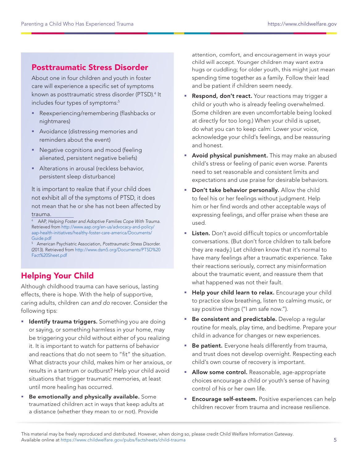## Posttraumatic Stress Disorder

About one in four children and youth in foster care will experience a specific set of symptoms known as posttraumatic stress disorder (PTSD).<sup>4</sup> It includes four types of symptoms:<sup>5</sup>

- nightmares)
- Avoidance (distressing memories and reminders about the event)
- **Negative cognitions and mood (feeling** alienated, persistent negative beliefs)
- **Alterations in arousal (reckless behavior,** persistent sleep disturbance)

Reexperiencing/remembering (flashbacks or<br>nightmares)<br>Avoidance (distressing memories and<br>reminders about the event)<br>Negative cognitions and mood (feeling<br>alienated, persistent negative beliefs)<br>Alterations in arousal (rec It is important to realize that if your child does not exhibit all of the symptoms of PTSD, it does not mean that he or she has not been affected by trauma.

## Helping Your Child

Although childhood trauma can have serious, lasting effects, there is hope. With the help of supportive, caring adults, children can and do recover. Consider the following tips:

- **Identify trauma triggers.** Something you are doing or saying, or something harmless in your home, may be triggering your child without either of you realizing it. It is important to watch for patterns of behavior and reactions that do not seem to "fit" the situation. What distracts your child, makes him or her anxious, or results in a tantrum or outburst? Help your child avoid situations that trigger traumatic memories, at least until more healing has occurred.
- Be emotionally and physically available. Some traumatized children act in ways that keep adults at a distance (whether they mean to or not). Provide

attention, comfort, and encouragement in ways your child will accept. Younger children may want extra hugs or cuddling; for older youth, this might just mea n spending time together as a family. Follow their lead and be patient if children seem needy.

- Respond, don't react. Your reactions may trigger a child or youth who is already feeling overwhelmed. (Some children are even uncomfortable being looked at directly for too long.) When your child is upset, do what you can to keep calm: Lower your voice, acknowledge your child's feelings, and be reassuring and honest.
- **Avoid physical punishment.** This may make an abused child's stress or feeling of panic even worse. Parents need to set reasonable and consistent limits and expectations and use praise for desirable behaviors.
- Don't take behavior personally. Allow the child to feel his or her feelings without judgment. Help him or her find words and other acceptable ways of expressing feelings, and offer praise when these are used.
- **Listen.** Don't avoid difficult topics or uncomfortable conversations. (But don't force children to talk before they are ready.) Let children know that it's normal to have many feelings after a traumatic experience. Take their reactions seriously, correct any misinformation about the traumatic event, and reassure them that what happened was not their fault.
- Help your child learn to relax. Encourage your child to practice slow breathing, listen to calming music, or say positive things ("I am safe now.").
- **Be consistent and predictable.** Develop a regular routine for meals, play time, and bedtime. Prepare your child in advance for changes or new experiences.
- **Be patient.** Everyone heals differently from trauma, and trust does not develop overnight. Respecting each child's own course of recovery is important.
- **Allow some control.** Reasonable, age-appropriate choices encourage a child or youth's sense of having control of his or her own life.
- **Encourage self-esteem.** Positive experiences can help children recover from trauma and increase resilience.

<sup>&</sup>lt;sup>4</sup> AAP, Helping Foster and Adoptive Families Cope With Trauma. Retrieved from [http://www.aap.org/en-us/advocacy-and-policy/](http://www.aap.org/en-us/advocacy-and-policy/aap-health-initiatives/healthy-foster-care-america/Documents/FamilyHandout.pdf) [aap-health-initiatives/healthy-foster-care-america/Documents/](http://www.aap.org/en-us/advocacy-and-policy/aap-health-initiatives/healthy-foster-care-america/Documents/FamilyHandout.pdf) [Guide.pdf](http://www.aap.org/en-us/advocacy-and-policy/aap-health-initiatives/healthy-foster-care-america/Documents/FamilyHandout.pdf)

<sup>&</sup>lt;sup>5</sup> American Psychiatric Association, Posttraumatic Stress Disorder. (2013). Retrieved from [http://www.dsm5.org/Documents/PTSD%20](http://www.dsm5.org/Documents/PTSD%20Fact%20Sheet.pdf) [Fact%20Sheet.pdf](http://www.dsm5.org/Documents/PTSD%20Fact%20Sheet.pdf)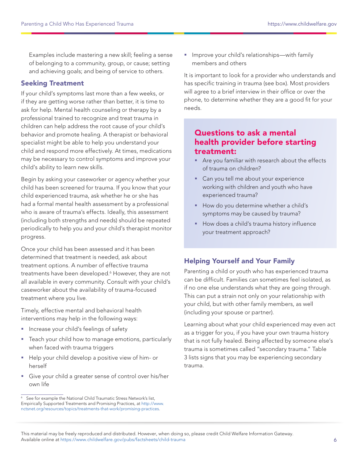Examples include mastering a new skill; feeling a sense of belonging to a community, group, or cause; setting and achieving goals; and being of service to others.

### Seeking Treatment

If your child's symptoms last more than a few weeks, or if they are getting worse rather than better, it is time to ask for help. Mental health counseling or therapy by a professional trained to recognize and treat trauma in children can help address the root cause of your child's behavior and promote healing. A therapist or behavioral specialist might be able to help you understand your child and respond more effectively. At times, medications may be necessary to control symptoms and improve your child's ability to learn new skills.

Begin by asking your caseworker or agency whether your child has been screened for trauma. If you know that your child experienced trauma, ask whether he or she has had a formal mental health assessment by a professional who is aware of trauma's effects. Ideally, this assessment (including both strengths and needs) should be repeated periodically to help you and your child's therapist monitor progress.

Once your child has been assessed and it has been determined that treatment is needed, ask about treatment options. A number of effective trauma treatments have been developed.6 1 However, they are not all available in every community. Consult with your child's caseworker about the availability of trauma-focused treatment where you live.

Timely, effective mental and behavioral health interventions may help in the following ways:

- Increase your child's feelings of safety
- Teach your child how to manage emotions, particularly when faced with trauma triggers
- **Help your child develop a positive view of him- or** herself
- Give your child a greater sense of control over his/her own life

**Improve your child's relationships—with family** members and others

It is important to look for a provider who understands and has specific training in trauma (see box). Most providers will agree to a brief interview in their office or over the phone, to determine whether they are a good fit for your needs.

## Questions to ask a mental health provider before starting treatment:

- Are you familiar with research about the effects of trauma on children?
- **Can you tell me about your experience** working with children and youth who have experienced trauma?
- **How do you determine whether a child's** symptoms may be caused by trauma?
- **How does a child's trauma history influence** your treatment approach?

### Helping Yourself and Your Family

Parenting a child or youth who has experienced trauma can be difficult. Families can sometimes feel isolated, as if no one else understands what they are going through. This can put a strain not only on your relationship with your child, but with other family members, as well (including your spouse or partner).

Learning about what your child experienced may even act as a trigger for you, if you have your own trauma history that is not fully healed. Being affected by someone else's trauma is sometimes called "secondary trauma." Table 3 lists signs that you may be experiencing secondary trauma.

<sup>&</sup>lt;sup>6</sup> See for example the National Child Traumatic Stress Network's list, Empirically Supported Treatments and Promising Practices, at [http://www.](http://www.nctsnet.org/resources/topics/treatments-that-work/promising-practices) [nctsnet.org/resources/topics/treatments-that-work/promising-practices](http://www.nctsnet.org/resources/topics/treatments-that-work/promising-practices).

This material may be freely reproduced and distributed. However, when doing so, please credit Child Welfare Information Gateway. Available online at https://www.childwelfare.gov/pubs/factsheets/child-trauma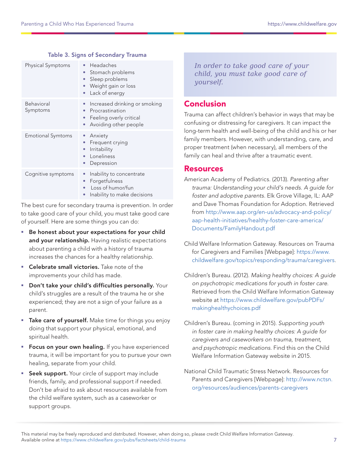| Physical Symptoms        | • Headaches<br>Stomach problems<br>Sleep problems<br>Weight gain or loss<br>Lack of energy           |
|--------------------------|------------------------------------------------------------------------------------------------------|
| Behavioral<br>Symptoms   | Increased drinking or smoking<br>Procrastination<br>Feeling overly critical<br>Avoiding other people |
| <b>Emotional Symtoms</b> | Anxiety<br>Frequent crying<br>Irritability<br>Loneliness<br>Depression                               |
| Cognitive symptoms       | Inability to concentrate<br>Forgetfulness<br>Loss of humor/fun<br>Inability to make decisions        |

Table 3. Signs of Secondary Trauma

The best cure for secondary trauma is prevention. In order to take good care of your child, you must take good care of yourself. Here are some things you can do:

- Be honest about your expectations for your child and your relationship. Having realistic expectations about parenting a child with a history of trauma increases the chances for a healthy relationship.
- **Celebrate small victories.** Take note of the improvements your child has made.
- **Don't take your child's difficulties personally.** Your child's struggles are a result of the trauma he or she experienced; they are not a sign of your failure as a parent.
- Take care of yourself. Make time for things you enjoy doing that support your physical, emotional, and spiritual health.
- Focus on your own healing. If you have experienced trauma, it will be important for you to pursue your own healing, separate from your child.
- **Seek support.** Your circle of support may include friends, family, and professional support if needed. Don't be afraid to ask about resources available from the child welfare system, such as a caseworker or support groups.

*In order to take good care of your child, you must take good care of yourself.* 

## Conclusion

Trauma can affect children's behavior in ways that may be confusing or distressing for caregivers. It can impact the long-term health and well-being of the child and his or her family members. However, with understanding, care, and proper treatment (when necessary), all members of the family can heal and thrive after a traumatic event.

## Resources

- American Academy of Pediatrics. (2013). Parenting after trauma: Understanding your child's needs. A guide for foster and adoptive parents. Elk Grove Village, IL: AAP and Dave Thomas Foundation for Adoption. Retrieved from [http://www.aap.org/en-us/advocacy-and-policy/](http://www.aap.org/en-us/advocacy-and-policy/aap-health-initiatives/healthy-foster-care-america/Documents/FamilyHandout.pdf) [aap-health-initiatives/healthy-foster-care-america/](http://www.aap.org/en-us/advocacy-and-policy/aap-health-initiatives/healthy-foster-care-america/Documents/FamilyHandout.pdf) [Documents/FamilyHandout.pdf](http://www.aap.org/en-us/advocacy-and-policy/aap-health-initiatives/healthy-foster-care-america/Documents/FamilyHandout.pdf)
- Child Welfare Information Gateway. Resources on Trauma for Caregivers and Families [Webpage]: [https://www.](https://www.childwelfare.gov/topics/responding/trauma/caregivers) [childwelfare.gov/topics/responding/trauma/caregivers](https://www.childwelfare.gov/topics/responding/trauma/caregivers).
- Children's Bureau. (2012). Making healthy choices: A guide on psychotropic medications for youth in foster care. Retrieved from the Child Welfare Information Gateway website at [https://www.childwelfare.gov/pubPDFs/](https://www.childwelfare.gov/pubPDFs/makinghealthychoices.pdf) [makinghealthychoices.pdf](https://www.childwelfare.gov/pubPDFs/makinghealthychoices.pdf)
- Children's Bureau. (coming in 2015). Supporting youth in foster care in making healthy choices: A guide for caregivers and caseworkers on trauma, treatment, and psychotropic medications. Find this on the Child Welfare Information Gateway website in 2015.
- National Child Traumatic Stress Network. Resources for Parents and Caregivers [Webpage]: [http://www.nctsn.](http://www.nctsn.org/resources/audiences/parents-caregivers) [org/resources/audiences/parents-caregivers](http://www.nctsn.org/resources/audiences/parents-caregivers)